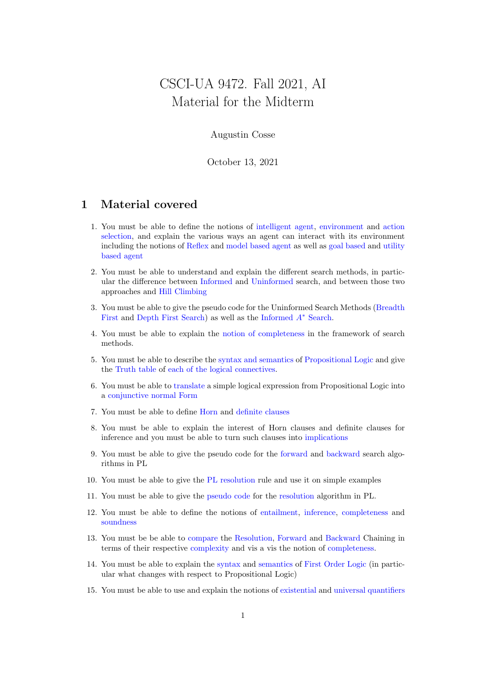## CSCI-UA 9472. Fall 2021, AI Material for the Midterm

## Augustin Cosse

October 13, 2021

## 1 Material covered

- 1. You must be able to define the notions of intelligent agent, environment and action selection, and explain the various ways an agent can interact with its environment including the notions of Reflex and model based agent as well as goal based and utility based agent
- 2. You must be able to understand and explain the different search methods, in particular the difference between Informed and Uninformed search, and between those two approaches and Hill Climbing
- 3. You must be able to give the pseudo code for the Uninformed Search Methods (Breadth First and Depth First Search) as well as the Informed A<sup>∗</sup> Search.
- 4. You must be able to explain the notion of completeness in the framework of search methods.
- 5. You must be able to describe the syntax and semantics of Propositional Logic and give the Truth table of each of the logical connectives.
- 6. You must be able to translate a simple logical expression from Propositional Logic into a conjunctive normal Form
- 7. You must be able to define Horn and definite clauses
- 8. You must be able to explain the interest of Horn clauses and definite clauses for inference and you must be able to turn such clauses into implications
- 9. You must be able to give the pseudo code for the forward and backward search algorithms in PL
- 10. You must be able to give the PL resolution rule and use it on simple examples
- 11. You must be able to give the pseudo code for the resolution algorithm in PL.
- 12. You must be able to define the notions of entailment, inference, completeness and soundness
- 13. You must be be able to compare the Resolution, Forward and Backward Chaining in terms of their respective complexity and vis a vis the notion of completeness.
- 14. You must be able to explain the syntax and semantics of First Order Logic (in particular what changes with respect to Propositional Logic)
- 15. You must be able to use and explain the notions of existential and universal quantifiers